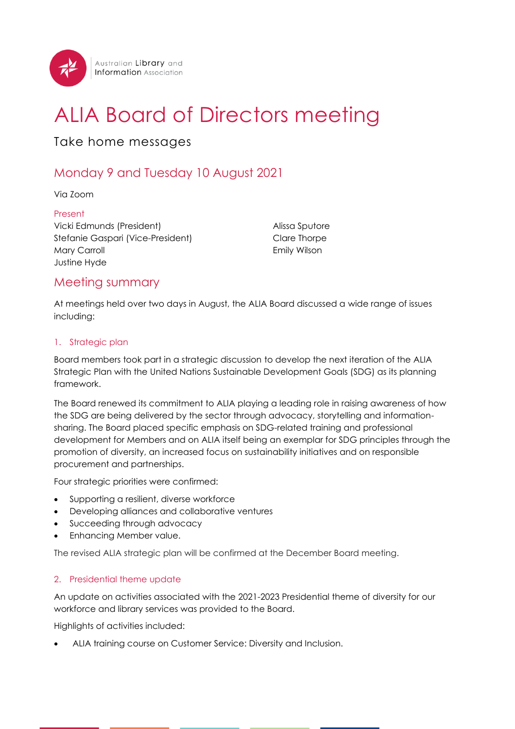

# ALIA Board of Directors meeting

## Take home messages

## Monday 9 and Tuesday 10 August 2021

Via Zoom

Present Vicki Edmunds (President) Stefanie Gaspari (Vice-President) Mary Carroll Justine Hyde

Alissa Sputore Clare Thorpe Emily Wilson

### Meeting summary

At meetings held over two days in August, the ALIA Board discussed a wide range of issues including:

#### 1. Strategic plan

Board members took part in a strategic discussion to develop the next iteration of the ALIA Strategic Plan with the United Nations Sustainable Development Goals (SDG) as its planning framework.

The Board renewed its commitment to ALIA playing a leading role in raising awareness of how the SDG are being delivered by the sector through advocacy, storytelling and informationsharing. The Board placed specific emphasis on SDG-related training and professional development for Members and on ALIA itself being an exemplar for SDG principles through the promotion of diversity, an increased focus on sustainability initiatives and on responsible procurement and partnerships.

Four strategic priorities were confirmed:

- Supporting a resilient, diverse workforce
- Developing alliances and collaborative ventures
- Succeeding through advocacy
- Enhancing Member value.

The revised ALIA strategic plan will be confirmed at the December Board meeting.

#### 2. Presidential theme update

An update on activities associated with the 2021-2023 Presidential theme of diversity for our workforce and library services was provided to the Board.

Highlights of activities included:

• ALIA training course on Customer Service: Diversity and Inclusion.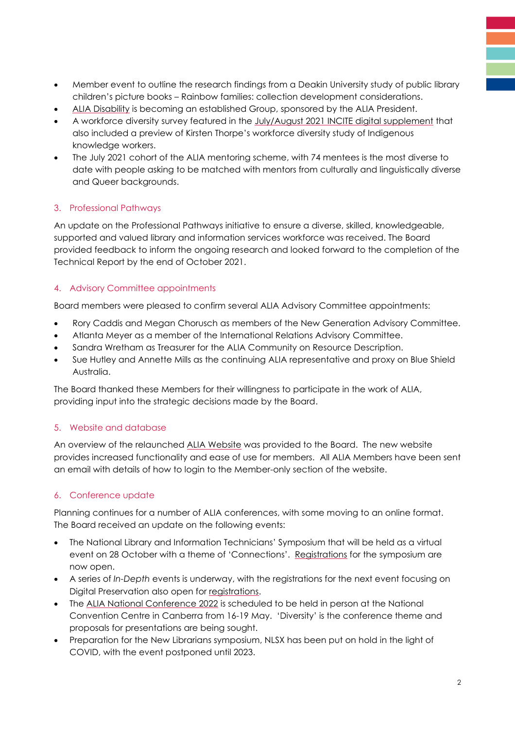- Member event to outline the research findings from a Deakin University study of public library children's picture books – Rainbow families: collection development considerations.
- [ALIA Disability](https://www.alia.org.au/Web/Our-Members/Communities/Our-Communities/ALIA_Disability.aspx) is becoming an established Group, sponsored by the ALIA President.
- A workforce diversity survey featured in the [July/August 2021 INCITE digital supplement](http://read.alia.org.au/workforce-diversity-digital-incite-supplement-julyaugust-2021) that also included a preview of Kirsten Thorpe's workforce diversity study of Indigenous knowledge workers.
- The July 2021 cohort of the ALIA mentoring scheme, with 74 mentees is the most diverse to date with people asking to be matched with mentors from culturally and linguistically diverse and Queer backgrounds.

#### 3. Professional Pathways

An update on the Professional Pathways initiative to ensure a diverse, skilled, knowledgeable, supported and valued library and information services workforce was received. The Board provided feedback to inform the ongoing research and looked forward to the completion of the Technical Report by the end of October 2021.

#### 4. Advisory Committee appointments

Board members were pleased to confirm several ALIA Advisory Committee appointments:

- Rory Caddis and Megan Chorusch as members of the New Generation Advisory Committee.
- Atlanta Meyer as a member of the International Relations Advisory Committee.
- Sandra Wretham as Treasurer for the ALIA Community on Resource Description.
- Sue Hutley and Annette Mills as the continuing ALIA representative and proxy on Blue Shield Australia.

The Board thanked these Members for their willingness to participate in the work of ALIA, providing input into the strategic decisions made by the Board.

#### 5. Website and database

An overview of the relaunched [ALIA Website](https://www.alia.org.au/) was provided to the Board. The new website provides increased functionality and ease of use for members. All ALIA Members have been sent an email with details of how to login to the Member-only section of the website.

#### 6. Conference update

Planning continues for a number of ALIA conferences, with some moving to an online format. The Board received an update on the following events:

- The National Library and Information Technicians' Symposium that will be held as a virtual event on 28 October with a theme of 'Connections'. [Registrations](https://www.alia.org.au/EventDetail?EventKey=LIBTECH21A) for the symposium are now open.
- A series of *In-Depth* events is underway, with the registrations for the next event focusing on Digital Preservation also open for [registrations.](https://www.alia.org.au/EventDetail?EventKey=IDS0921A)
- The [ALIA National Conference 2022](https://www.alia.org.au/Web/Events-and-Programs/Conferences/Web/Events/Conferences/Conferences.aspx?hkey=d709e3c1-865e-4c29-ac16-c6d814fed497) is scheduled to be held in person at the National Convention Centre in Canberra from 16-19 May. 'Diversity' is the conference theme and proposals for presentations are being sought.
- Preparation for the New Librarians symposium, NLSX has been put on hold in the light of COVID, with the event postponed until 2023.